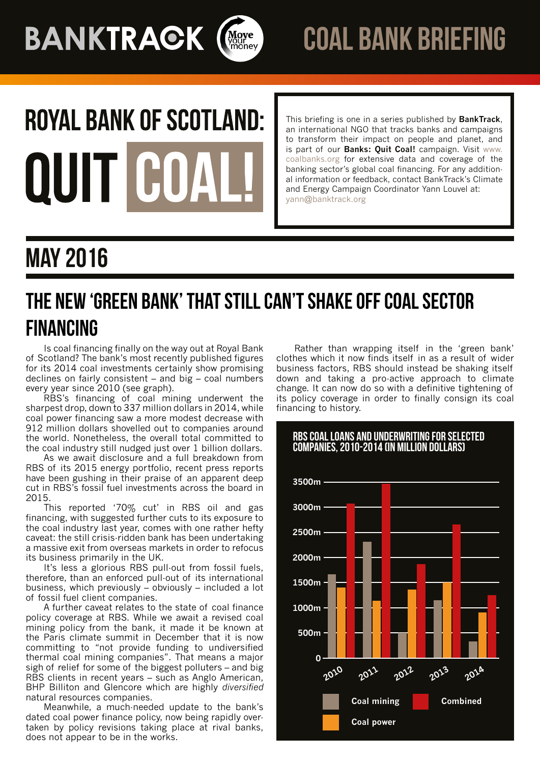**BANKTRACK (Moye** 



# **ROYAL BANK OF SCOTLAND:** QUIT CO

This briefing is one in a series published by **BankTrack**, an international NGO that tracks banks and campaigns to transform their impact on people and planet, and is part of our **Banks: Quit Coal!** campaign. Visit [www.](http://www.coalbanks.org/) [coalbanks.org](http://www.coalbanks.org/) for extensive data and coverage of the banking sector's global coal financing. For any additional information or feedback, contact BankTrack's Climate and Energy Campaign Coordinator Yann Louvel at: yann@banktrack.org

# May 2016

## The new 'green bank' that still can't shake off coal sector financing

Is coal financing finally on the way out at Royal Bank of Scotland? The bank's most recently published figures for its 2014 coal investments certainly show promising declines on fairly consistent – and big – coal numbers every year since 2010 (see graph).

RBS's financing of coal mining underwent the sharpest drop, down to 337 million dollars in 2014, while coal power financing saw a more modest decrease with 912 million dollars shovelled out to companies around the world. Nonetheless, the overall total committed to the coal industry still nudged just over 1 billion dollars.

As we await disclosure and a full breakdown from RBS of its 2015 energy portfolio, recent press reports have been gushing in their praise of an apparent deep cut in RBS's fossil fuel investments across the board in 2015.

This reported '70% cut' in RBS oil and gas financing, with suggested further cuts to its exposure to the coal industry last year, comes with one rather hefty caveat: the still crisis-ridden bank has been undertaking a massive exit from overseas markets in order to refocus its business primarily in the UK.

It's less a glorious RBS pull-out from fossil fuels, therefore, than an enforced pull-out of its international business, which previously – obviously – included a lot of fossil fuel client companies.

A further caveat relates to the state of coal finance policy coverage at RBS. While we await a revised coal mining policy from the bank, it made it be known at the Paris climate summit in December that it is now committing to "not provide funding to undiversified thermal coal mining companies". That means a major sigh of relief for some of the biggest polluters – and big RBS clients in recent years – such as Anglo American, BHP Billiton and Glencore which are highly *diversified* natural resources companies.

Meanwhile, a much-needed update to the bank's dated coal power finance policy, now being rapidly overtaken by policy revisions taking place at rival banks, does not appear to be in the works.

Rather than wrapping itself in the 'green bank' clothes which it now finds itself in as a result of wider business factors, RBS should instead be shaking itself down and taking a pro-active approach to climate change. It can now do so with a definitive tightening of its policy coverage in order to finally consign its coal financing to history.